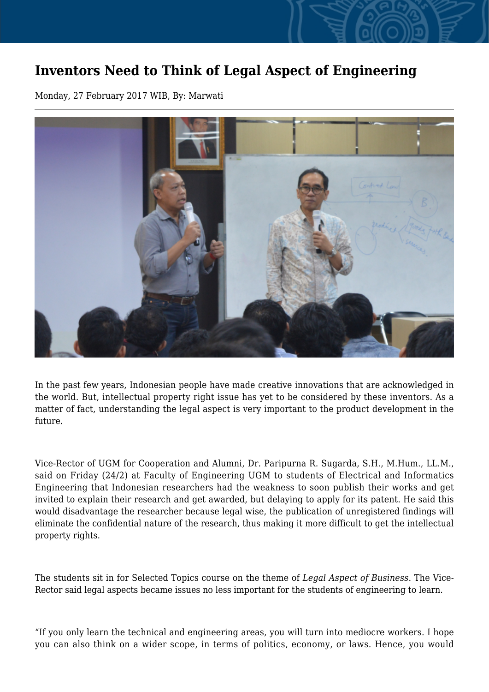## **Inventors Need to Think of Legal Aspect of Engineering**

Monday, 27 February 2017 WIB, By: Marwati



In the past few years, Indonesian people have made creative innovations that are acknowledged in the world. But, intellectual property right issue has yet to be considered by these inventors. As a matter of fact, understanding the legal aspect is very important to the product development in the future.

Vice-Rector of UGM for Cooperation and Alumni, Dr. Paripurna R. Sugarda, S.H., M.Hum., LL.M., said on Friday (24/2) at Faculty of Engineering UGM to students of Electrical and Informatics Engineering that Indonesian researchers had the weakness to soon publish their works and get invited to explain their research and get awarded, but delaying to apply for its patent. He said this would disadvantage the researcher because legal wise, the publication of unregistered findings will eliminate the confidential nature of the research, thus making it more difficult to get the intellectual property rights.

The students sit in for Selected Topics course on the theme of *Legal Aspect of Business*. The Vice-Rector said legal aspects became issues no less important for the students of engineering to learn.

"If you only learn the technical and engineering areas, you will turn into mediocre workers. I hope you can also think on a wider scope, in terms of politics, economy, or laws. Hence, you would